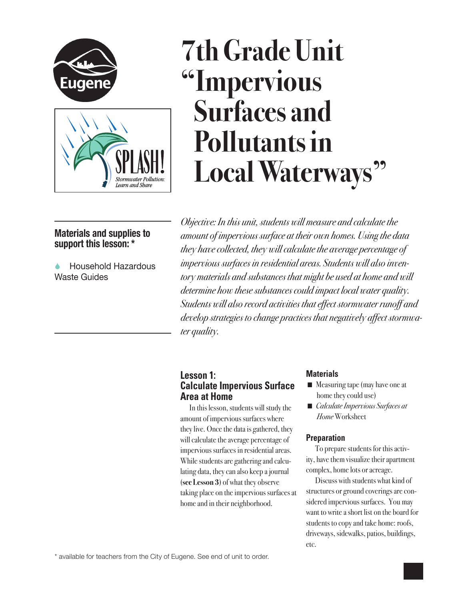



# **7th Grade Unit "Impervious Surfaces and Pollutants in Local Waterways"**

# **Materials and supplies to support this lesson: \***

 Household Hazardous Waste Guides

*Objective: In this unit, students will measure and calculate the amount of impervious surface at their own homes. Using the data they have collected, they will calculate the average percentage of impervious surfaces in residential areas. Students will also inventory materials and substances that might be used at home and will determine how these substances could impact local water quality. Students will also record activities that effect stormwater runoff and develop strategies to change practices that negatively affect stormwater quality.* 

## **Lesson 1: Calculate Impervious Surface Area at Home**

In this lesson, students will study the amount of impervious surfaces where they live. Once the data is gathered, they will calculate the average percentage of impervious surfaces in residential areas. While students are gathering and calculating data, they can also keep a journal (**see Lesson 3**) of what they observe taking place on the impervious surfaces at home and in their neighborhood.

#### **Materials**

- $\blacksquare$  Measuring tape (may have one at home they could use)
- *Calculate Impervious Surfaces at Home* Worksheet

### **Preparation**

To prepare students for this activity, have them visualize their apartment complex, home lots or acreage.

Discuss with students what kind of structures or ground coverings are considered impervious surfaces. You may want to write a short list on the board for students to copy and take home: roofs, driveways, sidewalks, patios, buildings, etc.

\* available for teachers from the City of Eugene. See end of unit to order.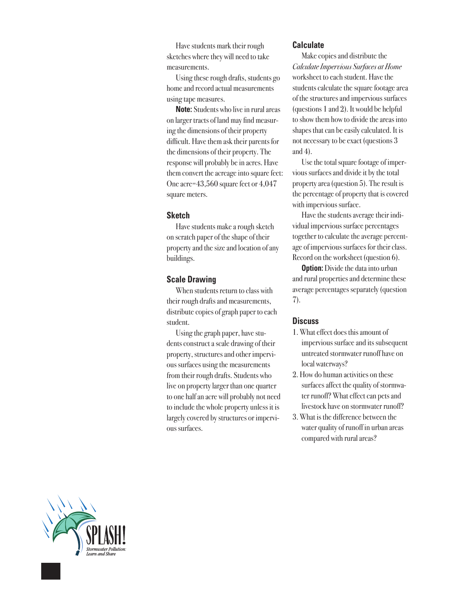Have students mark their rough sketches where they will need to take measurements.

Using these rough drafts, students go home and record actual measurements using tape measures.

**Note:** Students who live in rural areas on larger tracts of land may find measuring the dimensions of their property difficult. Have them ask their parents for the dimensions of their property. The response will probably be in acres. Have them convert the acreage into square feet: One acre=43,560 square feet or 4,047 square meters.

#### **Sketch**

Have students make a rough sketch on scratch paper of the shape of their property and the size and location of any buildings.

#### **Scale Drawing**

When students return to class with their rough drafts and measurements, distribute copies of graph paper to each student.

Using the graph paper, have students construct a scale drawing of their property, structures and other impervious surfaces using the measurements from their rough drafts. Students who live on property larger than one quarter to one half an acre will probably not need to include the whole property unless it is largely covered by structures or impervious surfaces.

#### **Calculate**

Make copies and distribute the *Calculate Impervious Surfaces at Home* worksheet to each student. Have the students calculate the square footage area of the structures and impervious surfaces (questions 1 and 2). It would be helpful to show them how to divide the areas into shapes that can be easily calculated. It is not necessary to be exact (questions 3 and 4).

Use the total square footage of impervious surfaces and divide it by the total property area (question 5). The result is the percentage of property that is covered with impervious surface.

Have the students average their individual impervious surface percentages together to calculate the average percentage of impervious surfaces for their class. Record on the worksheet (question 6).

**Option:** Divide the data into urban and rural properties and determine these average percentages separately (question 7).

#### **Discuss**

- 1. What effect does this amount of impervious surface and its subsequent untreated stormwater runoff have on local waterways?
- 2. How do human activities on these surfaces affect the quality of stormwater runoff? What effect can pets and livestock have on stormwater runoff?
- 3. What is the difference between the water quality of runoff in urban areas compared with rural areas?

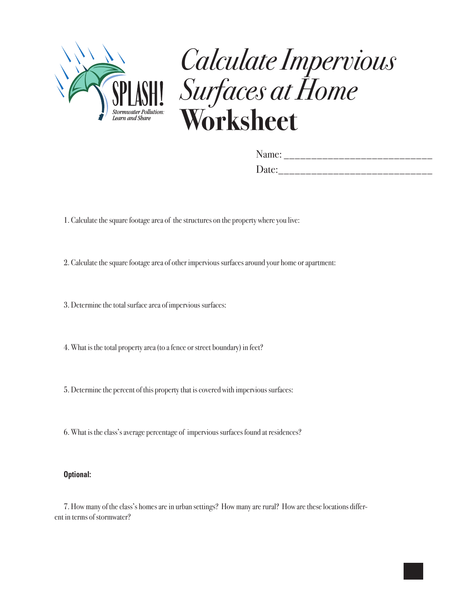

# *Calculate Impervious Surfaces at Home* **Worksheet**

| Name: |  |  |  |
|-------|--|--|--|
| Date: |  |  |  |

1. Calculate the square footage area of the structures on the property where you live:

2. Calculate the square footage area of other impervious surfaces around your home or apartment:

3. Determine the total surface area of impervious surfaces:

4. What is the total property area (to a fence or street boundary) in feet?

5. Determine the percent of this property that is covered with impervious surfaces:

6. What is the class's average percentage of impervious surfaces found at residences?

#### **Optional:**

7. How many of the class's homes are in urban settings? How many are rural? How are these locations different in terms of stormwater?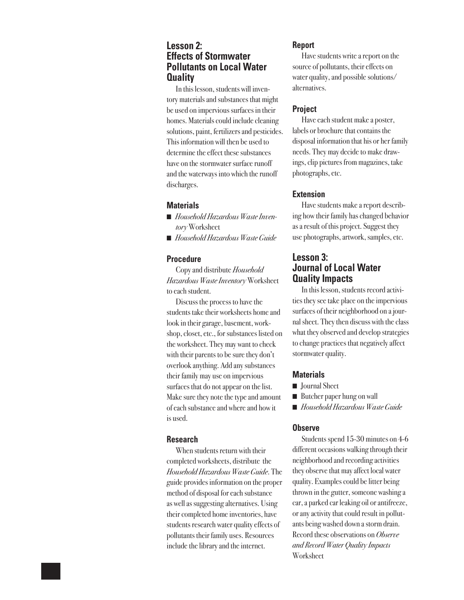### **Lesson 2: Effects of Stormwater Pollutants on Local Water Quality**

In this lesson, students will inventory materials and substances that might be used on impervious surfaces in their homes. Materials could include cleaning solutions, paint, fertilizers and pesticides. This information will then be used to determine the effect these substances have on the stormwater surface runoff and the waterways into which the runoff discharges.

#### **Materials**

- *Household Hazardous Waste Inventory* Worksheet
- *Household Hazardous Waste Guide*

#### **Procedure**

Copy and distribute *Household Hazardous Waste Inventory* Worksheet to each student.

Discuss the process to have the students take their worksheets home and look in their garage, basement, workshop, closet, etc., for substances listed on the worksheet. They may want to check with their parents to be sure they don't overlook anything. Add any substances their family may use on impervious surfaces that do not appear on the list. Make sure they note the type and amount of each substance and where and how it is used.

#### **Research**

When students return with their completed worksheets, distribute the *Household Hazardous Waste Guide*. The guide provides information on the proper method of disposal for each substance as well as suggesting alternatives. Using their completed home inventories, have students research water quality effects of pollutants their family uses. Resources include the library and the internet.

#### **Report**

Have students write a report on the source of pollutants, their effects on water quality, and possible solutions/ alternatives.

#### **Project**

Have each student make a poster, labels or brochure that contains the disposal information that his or her family needs. They may decide to make drawings, clip pictures from magazines, take photographs, etc.

#### **Extension**

Have students make a report describing how their family has changed behavior as a result of this project. Suggest they use photographs, artwork, samples, etc.

### **Lesson 3: Journal of Local Water Quality Impacts**

In this lesson, students record activities they see take place on the impervious surfaces of their neighborhood on a journal sheet. They then discuss with the class what they observed and develop strategies to change practices that negatively affect stormwater quality.

#### **Materials**

- Journal Sheet
- Butcher paper hung on wall
- n *Household Hazardous Waste Guide*

#### **Observe**

Students spend 15-30 minutes on 4-6 different occasions walking through their neighborhood and recording activities they observe that may affect local water quality. Examples could be litter being thrown in the gutter, someone washing a car, a parked car leaking oil or antifreeze, or any activity that could result in pollutants being washed down a storm drain. Record these observations on *Observe and Record Water Quality Impacts*  Worksheet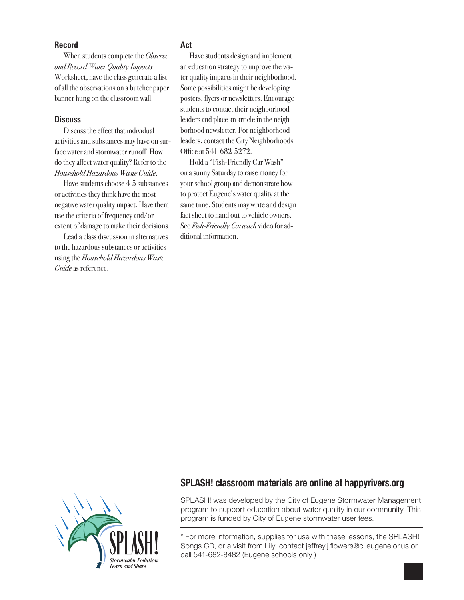#### **Record**

When students complete the *Observe and Record Water Quality Impacts*  Worksheet, have the class generate a list of all the observations on a butcher paper banner hung on the classroom wall.

#### **Discuss**

Discuss the effect that individual activities and substances may have on surface water and stormwater runoff. How do they affect water quality? Refer to the *Household Hazardous Waste Guide*.

Have students choose 4-5 substances or activities they think have the most negative water quality impact. Have them use the criteria of frequency and/or extent of damage to make their decisions.

Lead a class discussion in alternatives to the hazardous substances or activities using the *Household Hazardous Waste Guide* as reference.

#### **Act**

Have students design and implement an education strategy to improve the water quality impacts in their neighborhood. Some possibilities might be developing posters, flyers or newsletters. Encourage students to contact their neighborhood leaders and place an article in the neighborhood newsletter. For neighborhood leaders, contact the City Neighborhoods Office at 541-682-5272.

Hold a "Fish-Friendly Car Wash" on a sunny Saturday to raise money for your school group and demonstrate how to protect Eugene's water quality at the same time. Students may write and design fact sheet to hand out to vehicle owners. See *Fish-Friendly Carwash* video for additional information.



### **SPLASH! classroom materials are online at happyrivers.org**

SPLASH! was developed by the City of Eugene Stormwater Management program to support education about water quality in our community. This program is funded by City of Eugene stormwater user fees.

\* For more information, supplies for use with these lessons, the SPLASH! Songs CD, or a visit from Lily, contact jeffrey.j.flowers@ci.eugene.or.us or call 541-682-8482 (Eugene schools only )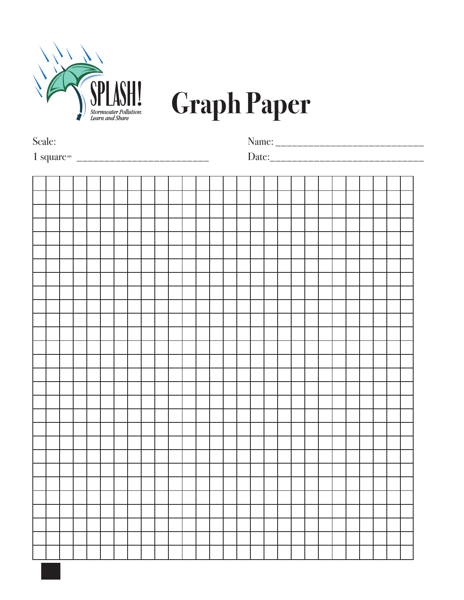

# **Graph Paper**

| Scale: |  |  |  |  |  |  |  |  |  |  |  |  |  |  |  |  |  |  |  |
|--------|--|--|--|--|--|--|--|--|--|--|--|--|--|--|--|--|--|--|--|
|        |  |  |  |  |  |  |  |  |  |  |  |  |  |  |  |  |  |  |  |
|        |  |  |  |  |  |  |  |  |  |  |  |  |  |  |  |  |  |  |  |
|        |  |  |  |  |  |  |  |  |  |  |  |  |  |  |  |  |  |  |  |
|        |  |  |  |  |  |  |  |  |  |  |  |  |  |  |  |  |  |  |  |
|        |  |  |  |  |  |  |  |  |  |  |  |  |  |  |  |  |  |  |  |
|        |  |  |  |  |  |  |  |  |  |  |  |  |  |  |  |  |  |  |  |
|        |  |  |  |  |  |  |  |  |  |  |  |  |  |  |  |  |  |  |  |
|        |  |  |  |  |  |  |  |  |  |  |  |  |  |  |  |  |  |  |  |
|        |  |  |  |  |  |  |  |  |  |  |  |  |  |  |  |  |  |  |  |
|        |  |  |  |  |  |  |  |  |  |  |  |  |  |  |  |  |  |  |  |
|        |  |  |  |  |  |  |  |  |  |  |  |  |  |  |  |  |  |  |  |
|        |  |  |  |  |  |  |  |  |  |  |  |  |  |  |  |  |  |  |  |
|        |  |  |  |  |  |  |  |  |  |  |  |  |  |  |  |  |  |  |  |
|        |  |  |  |  |  |  |  |  |  |  |  |  |  |  |  |  |  |  |  |
|        |  |  |  |  |  |  |  |  |  |  |  |  |  |  |  |  |  |  |  |
|        |  |  |  |  |  |  |  |  |  |  |  |  |  |  |  |  |  |  |  |
|        |  |  |  |  |  |  |  |  |  |  |  |  |  |  |  |  |  |  |  |
|        |  |  |  |  |  |  |  |  |  |  |  |  |  |  |  |  |  |  |  |
|        |  |  |  |  |  |  |  |  |  |  |  |  |  |  |  |  |  |  |  |
|        |  |  |  |  |  |  |  |  |  |  |  |  |  |  |  |  |  |  |  |
|        |  |  |  |  |  |  |  |  |  |  |  |  |  |  |  |  |  |  |  |
|        |  |  |  |  |  |  |  |  |  |  |  |  |  |  |  |  |  |  |  |
|        |  |  |  |  |  |  |  |  |  |  |  |  |  |  |  |  |  |  |  |
|        |  |  |  |  |  |  |  |  |  |  |  |  |  |  |  |  |  |  |  |
|        |  |  |  |  |  |  |  |  |  |  |  |  |  |  |  |  |  |  |  |
|        |  |  |  |  |  |  |  |  |  |  |  |  |  |  |  |  |  |  |  |
|        |  |  |  |  |  |  |  |  |  |  |  |  |  |  |  |  |  |  |  |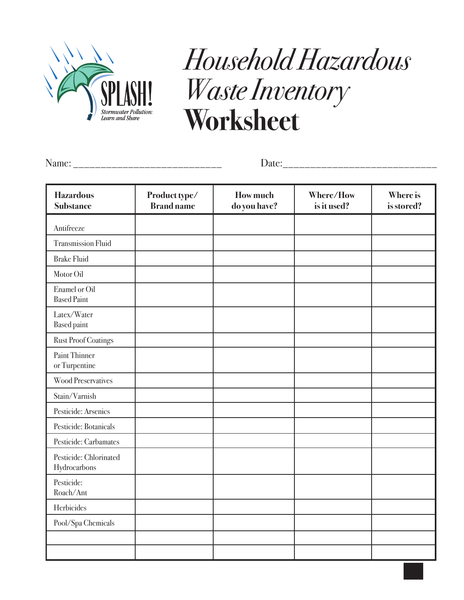

# *Household Hazardous Waste Inventory*  **Worksheet**

Name: \_\_\_\_\_\_\_\_\_\_\_\_\_\_\_\_\_\_\_\_\_\_\_\_\_\_\_

Date:\_\_\_\_\_\_\_\_\_\_\_\_\_\_\_\_\_\_\_\_\_\_\_\_\_\_\_\_

| <b>Hazardous</b><br><b>Substance</b>       | Product type/<br><b>Brand name</b> | <b>How much</b><br>do you have? | Where/How<br>is it used? | <b>Where is</b><br>is stored? |
|--------------------------------------------|------------------------------------|---------------------------------|--------------------------|-------------------------------|
| Antifreeze                                 |                                    |                                 |                          |                               |
| <b>Transmission Fluid</b>                  |                                    |                                 |                          |                               |
| <b>Brake Fluid</b>                         |                                    |                                 |                          |                               |
| Motor Oil                                  |                                    |                                 |                          |                               |
| <b>Enamel or Oil</b><br><b>Based Paint</b> |                                    |                                 |                          |                               |
| Latex/Water<br><b>Based paint</b>          |                                    |                                 |                          |                               |
| <b>Rust Proof Coatings</b>                 |                                    |                                 |                          |                               |
| <b>Paint Thinner</b><br>or Turpentine      |                                    |                                 |                          |                               |
| <b>Wood Preservatives</b>                  |                                    |                                 |                          |                               |
| Stain/Varnish                              |                                    |                                 |                          |                               |
| Pesticide: Arsenics                        |                                    |                                 |                          |                               |
| Pesticide: Botanicals                      |                                    |                                 |                          |                               |
| Pesticide: Carbamates                      |                                    |                                 |                          |                               |
| Pesticide: Chlorinated<br>Hydrocarbons     |                                    |                                 |                          |                               |
| Pesticide:<br>Roach/Ant                    |                                    |                                 |                          |                               |
| Herbicides                                 |                                    |                                 |                          |                               |
| Pool/Spa Chemicals                         |                                    |                                 |                          |                               |
|                                            |                                    |                                 |                          |                               |
|                                            |                                    |                                 |                          |                               |